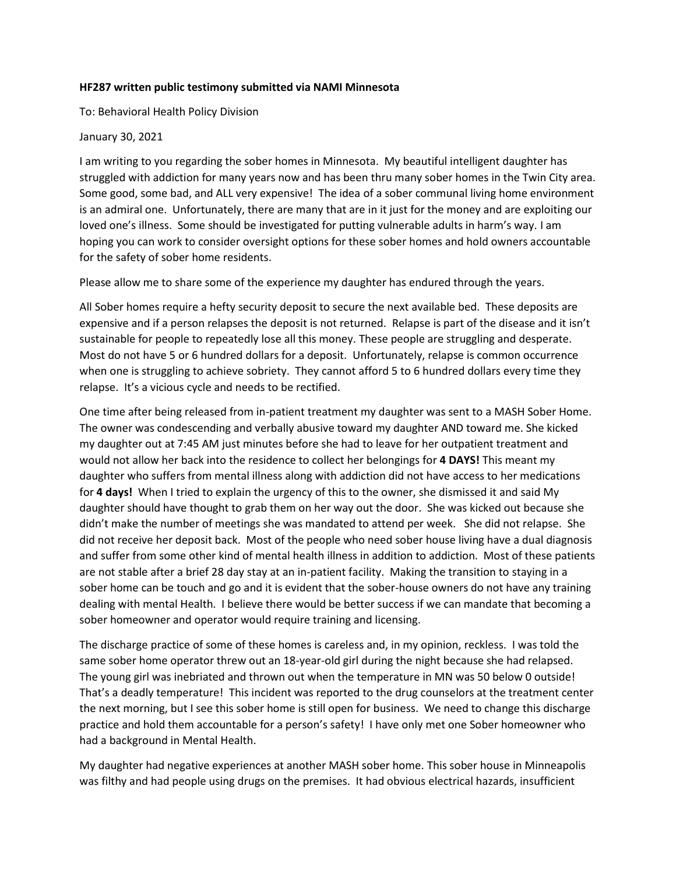## **HF287 written public testimony submitted via NAMI Minnesota**

To: Behavioral Health Policy Division

## January 30, 2021

I am writing to you regarding the sober homes in Minnesota. My beautiful intelligent daughter has struggled with addiction for many years now and has been thru many sober homes in the Twin City area. Some good, some bad, and ALL very expensive! The idea of a sober communal living home environment is an admiral one. Unfortunately, there are many that are in it just for the money and are exploiting our loved one's illness. Some should be investigated for putting vulnerable adults in harm's way. I am hoping you can work to consider oversight options for these sober homes and hold owners accountable for the safety of sober home residents.

Please allow me to share some of the experience my daughter has endured through the years.

All Sober homes require a hefty security deposit to secure the next available bed. These deposits are expensive and if a person relapses the deposit is not returned. Relapse is part of the disease and it isn't sustainable for people to repeatedly lose all this money. These people are struggling and desperate. Most do not have 5 or 6 hundred dollars for a deposit. Unfortunately, relapse is common occurrence when one is struggling to achieve sobriety. They cannot afford 5 to 6 hundred dollars every time they relapse. It's a vicious cycle and needs to be rectified.

One time after being released from in-patient treatment my daughter was sent to a MASH Sober Home. The owner was condescending and verbally abusive toward my daughter AND toward me. She kicked my daughter out at 7:45 AM just minutes before she had to leave for her outpatient treatment and would not allow her back into the residence to collect her belongings for **4 DAYS!** This meant my daughter who suffers from mental illness along with addiction did not have access to her medications for **4 days!** When I tried to explain the urgency of this to the owner, she dismissed it and said My daughter should have thought to grab them on her way out the door. She was kicked out because she didn't make the number of meetings she was mandated to attend per week. She did not relapse. She did not receive her deposit back. Most of the people who need sober house living have a dual diagnosis and suffer from some other kind of mental health illness in addition to addiction. Most of these patients are not stable after a brief 28 day stay at an in-patient facility. Making the transition to staying in a sober home can be touch and go and it is evident that the sober-house owners do not have any training dealing with mental Health. I believe there would be better success if we can mandate that becoming a sober homeowner and operator would require training and licensing.

The discharge practice of some of these homes is careless and, in my opinion, reckless. I was told the same sober home operator threw out an 18-year-old girl during the night because she had relapsed. The young girl was inebriated and thrown out when the temperature in MN was 50 below 0 outside! That's a deadly temperature! This incident was reported to the drug counselors at the treatment center the next morning, but I see this sober home is still open for business. We need to change this discharge practice and hold them accountable for a person's safety! I have only met one Sober homeowner who had a background in Mental Health.

My daughter had negative experiences at another MASH sober home. This sober house in Minneapolis was filthy and had people using drugs on the premises. It had obvious electrical hazards, insufficient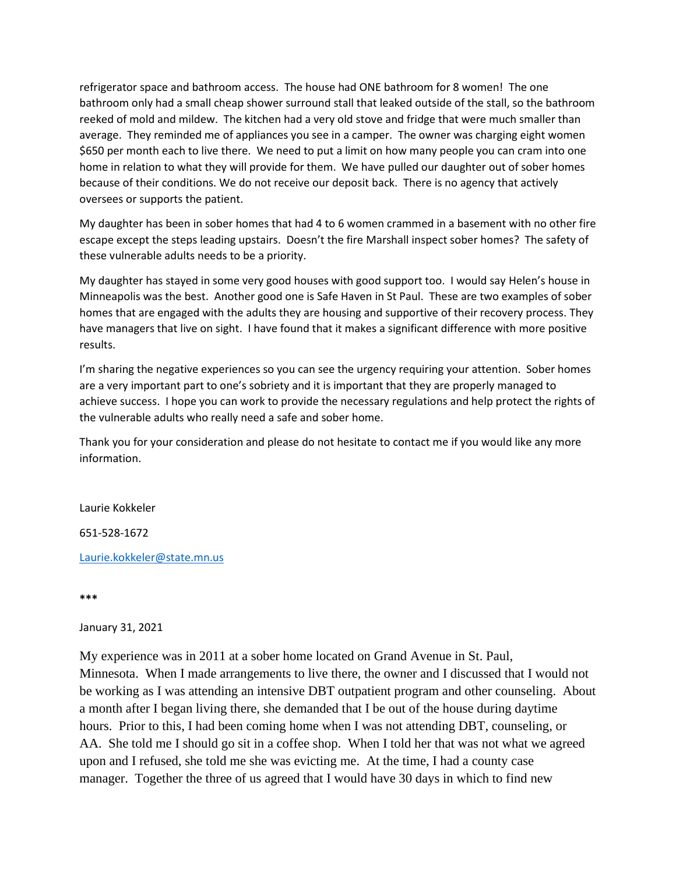refrigerator space and bathroom access. The house had ONE bathroom for 8 women! The one bathroom only had a small cheap shower surround stall that leaked outside of the stall, so the bathroom reeked of mold and mildew. The kitchen had a very old stove and fridge that were much smaller than average. They reminded me of appliances you see in a camper. The owner was charging eight women \$650 per month each to live there. We need to put a limit on how many people you can cram into one home in relation to what they will provide for them. We have pulled our daughter out of sober homes because of their conditions. We do not receive our deposit back. There is no agency that actively oversees or supports the patient.

My daughter has been in sober homes that had 4 to 6 women crammed in a basement with no other fire escape except the steps leading upstairs. Doesn't the fire Marshall inspect sober homes? The safety of these vulnerable adults needs to be a priority.

My daughter has stayed in some very good houses with good support too. I would say Helen's house in Minneapolis was the best. Another good one is Safe Haven in St Paul. These are two examples of sober homes that are engaged with the adults they are housing and supportive of their recovery process. They have managers that live on sight. I have found that it makes a significant difference with more positive results.

I'm sharing the negative experiences so you can see the urgency requiring your attention. Sober homes are a very important part to one's sobriety and it is important that they are properly managed to achieve success. I hope you can work to provide the necessary regulations and help protect the rights of the vulnerable adults who really need a safe and sober home.

Thank you for your consideration and please do not hesitate to contact me if you would like any more information.

Laurie Kokkeler

651-528-1672

[Laurie.kokkeler@state.mn.us](mailto:Laurie.kokkeler@state.mn.us)

```
***
```
January 31, 2021

My experience was in 2011 at a sober home located on Grand Avenue in St. Paul, Minnesota. When I made arrangements to live there, the owner and I discussed that I would not be working as I was attending an intensive DBT outpatient program and other counseling. About a month after I began living there, she demanded that I be out of the house during daytime hours. Prior to this, I had been coming home when I was not attending DBT, counseling, or AA. She told me I should go sit in a coffee shop. When I told her that was not what we agreed upon and I refused, she told me she was evicting me. At the time, I had a county case manager. Together the three of us agreed that I would have 30 days in which to find new